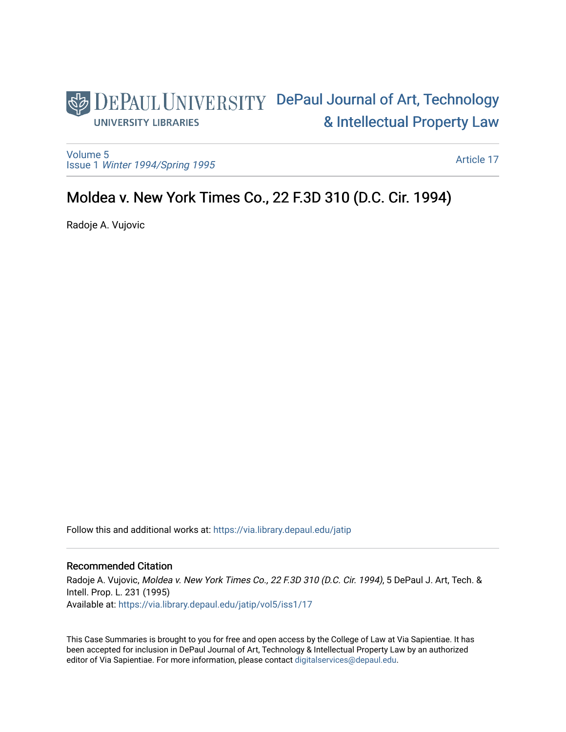## DEPAUL UNIVERSITY DePaul Journal of Art, Technology [& Intellectual Property Law](https://via.library.depaul.edu/jatip)  **UNIVERSITY LIBRARIES**

[Volume 5](https://via.library.depaul.edu/jatip/vol5) Issue 1 [Winter 1994/Spring 1995](https://via.library.depaul.edu/jatip/vol5/iss1)

[Article 17](https://via.library.depaul.edu/jatip/vol5/iss1/17) 

# Moldea v. New York Times Co., 22 F.3D 310 (D.C. Cir. 1994).

Radoje A. Vujovic

Follow this and additional works at: [https://via.library.depaul.edu/jatip](https://via.library.depaul.edu/jatip?utm_source=via.library.depaul.edu%2Fjatip%2Fvol5%2Fiss1%2F17&utm_medium=PDF&utm_campaign=PDFCoverPages)

## Recommended Citation

Radoje A. Vujovic, Moldea v. New York Times Co., 22 F.3D 310 (D.C. Cir. 1994), 5 DePaul J. Art, Tech. & Intell. Prop. L. 231 (1995) Available at: [https://via.library.depaul.edu/jatip/vol5/iss1/17](https://via.library.depaul.edu/jatip/vol5/iss1/17?utm_source=via.library.depaul.edu%2Fjatip%2Fvol5%2Fiss1%2F17&utm_medium=PDF&utm_campaign=PDFCoverPages) 

This Case Summaries is brought to you for free and open access by the College of Law at Via Sapientiae. It has been accepted for inclusion in DePaul Journal of Art, Technology & Intellectual Property Law by an authorized editor of Via Sapientiae. For more information, please contact [digitalservices@depaul.edu](mailto:digitalservices@depaul.edu).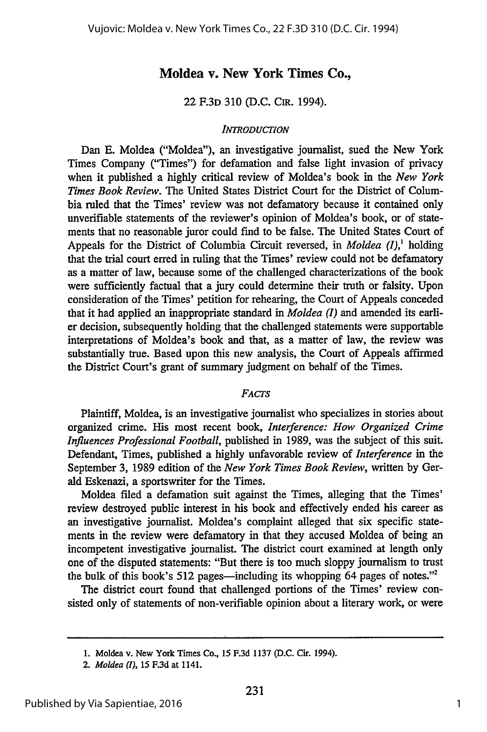## **Moldea v. New York Times Co.,**

### **22 F.3D 310 (D.C. Cm. 1994).**

#### *INTRODUCTION*

Dan **E.** Moldea ("Moldea"), an investigative journalist, sued the New York Times Company ("Times") for defamation and false light invasion of privacy when it published a highly critical review of Moldea's book in the *New York Times Book Review.* The United States District Court for the District of Columbia ruled that the Times' review was not defamatory because it contained only unverifiable statements of the reviewer's opinion of Moldea's book, or of statements that no reasonable juror could find to be false. The United States Court of Appeals for the District of Columbia Circuit reversed, in *Moldea (I),'* holding that the trial court erred in ruling that the Times' review could not be defamatory as a matter of law, because some of the challenged characterizations of the book were sufficiently factual that a jury could determine their truth or falsity. Upon consideration of the Times' petition for rehearing, the Court of Appeals conceded that it had applied an inappropriate standard in *Moldea (I)* and amended its earlier decision, subsequently holding that the challenged statements were supportable interpretations of Moldea's book and that, as a matter of law, the review was substantially true. Based upon this new analysis, the Court of Appeals affirmed the District Court's grant of summary judgment on behalf of the Times.

#### *FACTS*

Plaintiff, Moldea, is an investigative journalist who specializes in stories about organized crime. His most recent book, *Interference: How Organized Crime Influences Professional Football,* published in 1989, was the subject of this suit. Defendant, Times, published a highly unfavorable review of *Interference* in the September 3, 1989 edition of the *New York Times Book Review,* written by Gerald Eskenazi, a sportswriter for the Times.

Moldea filed a defamation suit against the Times, alleging that the Times' review destroyed public interest in his book and effectively ended his career as an investigative journalist. Moldea's complaint alleged that six specific statements in the review were defamatory in that they accused Moldea of being an incompetent investigative journalist. The district court examined at length only one of the disputed statements: "But there is too much sloppy journalism to trust the bulk of this book's 512 pages—including its whopping 64 pages of notes."<sup>2</sup>

The district court found that challenged portions of the Times' review consisted only of statements of non-verifiable opinion about a literary work, or were

**<sup>1.</sup>** Moldea **v. New** York Times Co., **15 F.3d 1137 (D.C.** Cir. 1994).

*<sup>2.</sup> Moldea (I),* **15 F.3d** at 1141.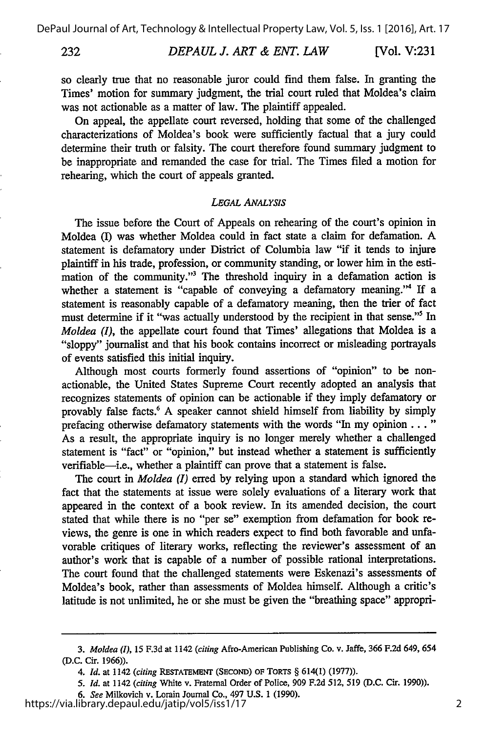232

*DEPAUL J. ART & ENT. LAW* [Vol. V:231

so clearly true that no reasonable juror could find them false. In granting the Times' motion for summary judgment, the trial court ruled that Moldea's claim was not actionable as a matter of law. The plaintiff appealed.

On appeal, the appellate court reversed, holding that some of the challenged characterizations of Moldea's book were sufficiently factual that a jury could determine their truth or falsity. The court therefore found summary judgment to be inappropriate and remanded the case for trial. The Times filed a motion for rehearing, which the court of appeals granted.

#### *LEGAL ANALYSIS*

The issue before the Court of Appeals on rehearing of the court's opinion in Moldea (I) was whether Moldea could in fact state a claim for defamation. A statement is defamatory under District of Columbia law "if it tends to injure plaintiff in his trade, profession, or community standing, or lower him in the estimation of the community."3 The threshold inquiry in a defamation action is whether a statement is "capable of conveying a defamatory meaning."4 If a statement is reasonably capable of a defamatory meaning, then the trier of fact must determine if it "was actually understood by the recipient in that sense."' In *Moldea (I), the appellate court found that Times' allegations that Moldea is a* "sloppy" journalist and that his book contains incorrect or misleading portrayals of events satisfied this initial inquiry.

Although most courts formerly found assertions of "opinion" to be nonactionable, the United States Supreme Court recently adopted an analysis that recognizes statements of opinion can be actionable if they imply defamatory or provably false facts.6 A speaker cannot shield himself from liability by simply prefacing otherwise defamatory statements with the words "In my opinion... **"** As a result, the appropriate inquiry is no longer merely whether a challenged statement is "fact" or "opinion," but instead whether a statement is sufficiently verifiable-i.e., whether a plaintiff can prove that a statement is false.

The court in *Moldea (I)* erred by relying upon a standard which ignored the fact that the statements at issue were solely evaluations of a literary work that appeared in the context of a book review. In its amended decision, the court stated that while there is no "per se" exemption from defamation for book reviews, the genre is one in which readers expect to find both favorable and unfavorable critiques of literary works, reflecting the reviewer's assessment of an author's work that is capable of a number of possible rational interpretations. The court found that the challenged statements were Eskenazi's assessments of Moldea's book, rather than assessments of Moldea himself. Although a critic's latitude is not unlimited, he or she must be given the "breathing space" appropri-

*5. Id.* at 1142 *(citing* White v. Fraternal Order of Police, **909 F.2d 512, 519 (D.C.** Cir. **1990)).**

*<sup>3.</sup> Moldea (I),* **15 F.3d** at 1142 *(citing* Afro-American Publishing Co. v. Jaffe, **366 F.2d** 649, 654 **(D.C.** Cir. **1966)).**

*<sup>4.</sup> Id.* at 1142 *(citing* RESTATEMENT **(SECOND)** OF **TORTS** § 614(1) **(1977)).**

*<sup>6.</sup> See* Milkovich v. Lorain Journal Co., 497 **U.S. 1 (1990).**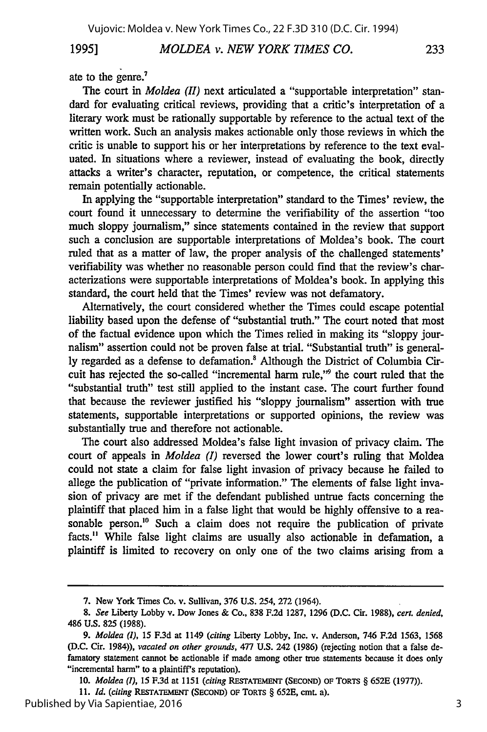## 1995] *MOLDEA v. NEW YORK TIMES CO.* 233

ate to the genre.<sup>7</sup>

The court in *Moldea (II)* next articulated a "supportable interpretation" standard for evaluating critical reviews, providing that a critic's interpretation of a literary work must be rationally supportable by reference to the actual text of the written work. Such an analysis makes actionable only those reviews in which the critic is unable to support his or her interpretations by reference to the text evaluated. In situations where a reviewer, instead of evaluating the book, directly attacks a writer's character, reputation, or competence, the critical statements remain potentially actionable.

In applying the "supportable interpretation" standard to the Times' review, the court found it unnecessary to determine the verifiability of the assertion "too much sloppy journalism," since statements contained in the review that support such a conclusion are supportable interpretations of Moldea's book. The court ruled that as a matter of law, the proper analysis of the challenged statements' verifiability was whether no reasonable person could find that the review's characterizations were supportable interpretations of Moldea's book. In applying this standard, the court held that the Times' review was not defamatory.

Alternatively, the court considered whether the Times could escape potential liability based upon the defense of "substantial truth." The court noted that most of the factual evidence upon which the Times relied in making its "sloppy journalism" assertion could not be proven false at trial. "Substantial truth" is generally regarded as a defense to defamation.<sup>8</sup> Although the District of Columbia Circuit has rejected the so-called "incremental harm rule," the court ruled that the "substantial truth" test still applied to the instant case. The court further found that because the reviewer justified his "sloppy journalism" assertion with true statements, supportable interpretations or supported opinions, the review was substantially true and therefore not actionable.

The court also addressed Moldea's false light invasion of privacy claim. The court of appeals in *Moldea (I)* reversed the lower court's ruling that Moldea could not state a claim for false light invasion of privacy because he failed to allege the publication of "private information." The elements of false light invasion of privacy are met if the defendant published untrue facts concerning the plaintiff that placed him in a false light that would be highly offensive to a reasonable person.<sup>10</sup> Such a claim does not require the publication of private facts." While false light claims are usually also actionable in defamation, a plaintiff is limited to recovery on only one of the two claims arising from a

**<sup>7.</sup>** New York Times Co. v. Sullivan, **376** U.S. 254, **272** (1964).

*<sup>8.</sup> See* Liberty Lobby v. Dow Jones **&** Co., **838 F.2d 1287, 1296 (D.C.** Cir. **1988),** *cert. denied,* 486 **U.S. 825 (1988).**

*<sup>9.</sup> Moldea (1),* **15 F.3d** at 1149 *(citing* Liberty Lobby, Inc. v. Anderson, 746 **F.2d 1563, 1568 (D.C.** Cir. 1984)), *vacated on other grounds,* **477 U.S.** 242 **(1986)** (rejecting notion that a false defamatory statement cannot be actionable if made among other true statements because it does only "incremental harm" **to** a plaintiff's reputation).

*<sup>10.</sup> Moldea (I),* **15 F.3d** at **1151** *(citing* RESTATEMENT **(SECOND) OF** TORTS § **652E (1977)).**

*<sup>11.</sup> Id. (citing* RESTATEMENT (SECOND) OF TORTS § **652E, cmL a).**